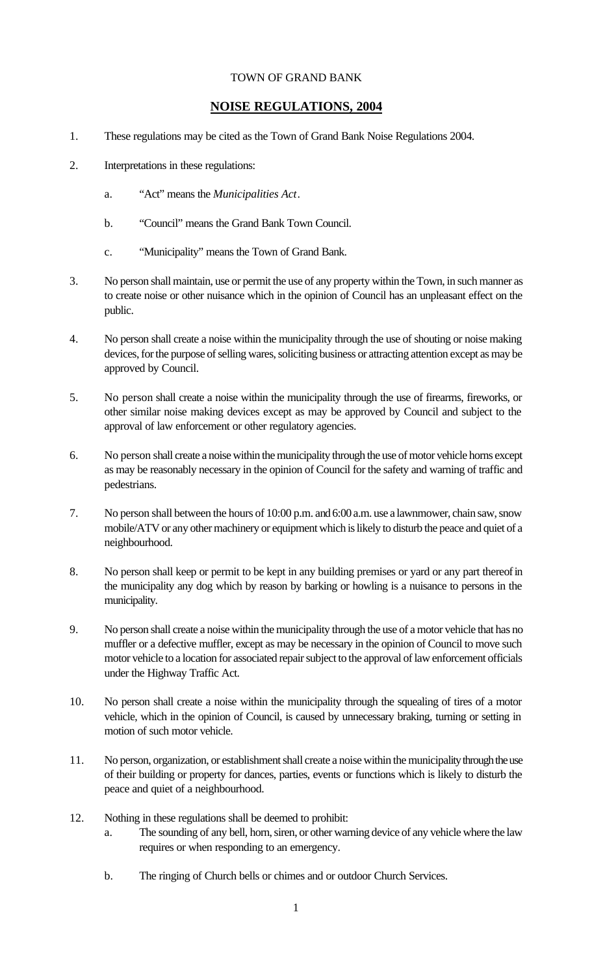## TOWN OF GRAND BANK

## **NOISE REGULATIONS, 2004**

- 1. These regulations may be cited as the Town of Grand Bank Noise Regulations 2004.
- 2. Interpretations in these regulations:
	- a. "Act" means the *Municipalities Act*.
	- b. "Council" means the Grand Bank Town Council.
	- c. "Municipality" means the Town of Grand Bank.
- 3. No person shall maintain, use or permit the use of any property within the Town, in such manner as to create noise or other nuisance which in the opinion of Council has an unpleasant effect on the public.
- 4. No person shall create a noise within the municipality through the use of shouting or noise making devices, for the purpose of selling wares, soliciting business or attracting attention except as may be approved by Council.
- 5. No person shall create a noise within the municipality through the use of firearms, fireworks, or other similar noise making devices except as may be approved by Council and subject to the approval of law enforcement or other regulatory agencies.
- 6. No person shall create a noise within the municipality through the use of motor vehicle horns except as may be reasonably necessary in the opinion of Council for the safety and warning of traffic and pedestrians.
- 7. No person shall between the hours of 10:00 p.m. and 6:00 a.m. use a lawnmower, chain saw, snow mobile/ATV or any other machinery or equipment which is likely to disturb the peace and quiet of a neighbourhood.
- 8. No person shall keep or permit to be kept in any building premises or yard or any part thereof in the municipality any dog which by reason by barking or howling is a nuisance to persons in the municipality.
- 9. No person shall create a noise within the municipality through the use of a motor vehicle that has no muffler or a defective muffler, except as may be necessary in the opinion of Council to move such motor vehicle to a location for associated repair subject to the approval of law enforcement officials under the Highway Traffic Act.
- 10. No person shall create a noise within the municipality through the squealing of tires of a motor vehicle, which in the opinion of Council, is caused by unnecessary braking, turning or setting in motion of such motor vehicle.
- 11. No person, organization, or establishment shall create a noise within the municipality through the use of their building or property for dances, parties, events or functions which is likely to disturb the peace and quiet of a neighbourhood.
- 12. Nothing in these regulations shall be deemed to prohibit:
	- a. The sounding of any bell, horn, siren, or other warning device of any vehicle where the law requires or when responding to an emergency.
	- b. The ringing of Church bells or chimes and or outdoor Church Services.